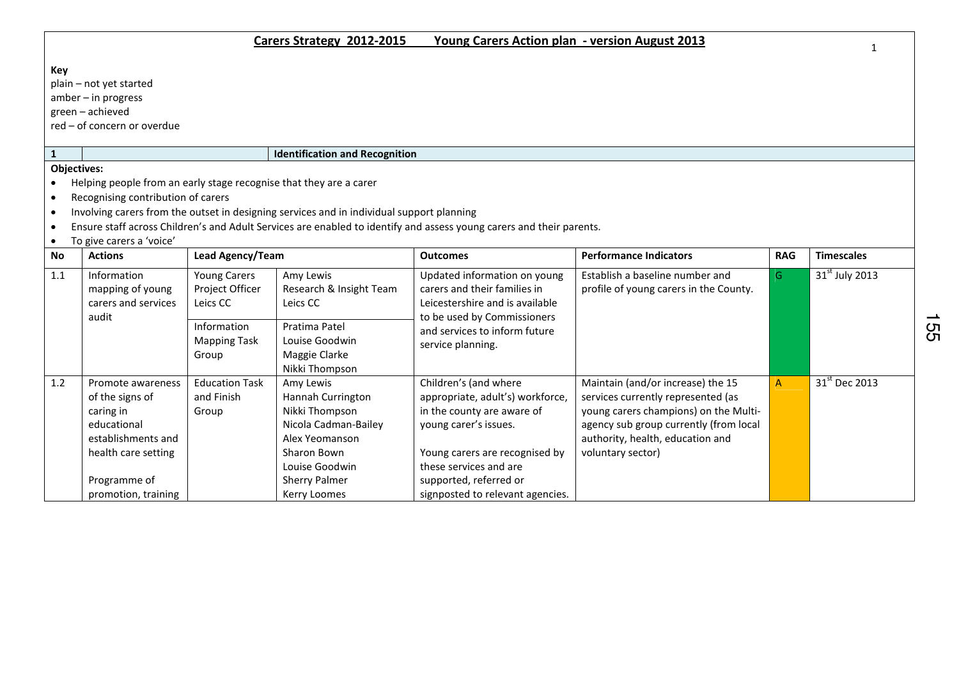## Key

plain – not yet started

amber – in progress

green – achieved

red – of concern or overdue

## 1 Identification and Recognition

## Objectives:

- Helping people from an early stage recognise that they are a carer
- Recognising contribution of carers
- Involving carers from the outset in designing services and in individual support planning
- Ensure staff across Children's and Adult Services are enabled to identify and assess young carers and their parents.
- To give carers a 'voice'

| <b>No</b> | <b>Actions</b>                                                                                                | <b>Lead Agency/Team</b>                            |                                                                                                                             | <b>Outcomes</b>                                                                                                                                                              | <b>Performance Indicators</b>                                                                                                                                                                                       | <b>RAG</b>   | <b>Timescales</b>         |
|-----------|---------------------------------------------------------------------------------------------------------------|----------------------------------------------------|-----------------------------------------------------------------------------------------------------------------------------|------------------------------------------------------------------------------------------------------------------------------------------------------------------------------|---------------------------------------------------------------------------------------------------------------------------------------------------------------------------------------------------------------------|--------------|---------------------------|
| 1.1       | <b>Information</b><br>mapping of young<br>carers and services<br>audit                                        | <b>Young Carers</b><br>Project Officer<br>Leics CC | Amy Lewis<br>Research & Insight Team<br>Leics CC                                                                            | Updated information on young<br>carers and their families in<br>Leicestershire and is available<br>to be used by Commissioners                                               | Establish a baseline number and<br>profile of young carers in the County.                                                                                                                                           | G.           | $31st$ July 2013          |
|           |                                                                                                               | Information<br><b>Mapping Task</b><br>Group        | Pratima Patel<br>Louise Goodwin<br>Maggie Clarke<br>Nikki Thompson                                                          | and services to inform future<br>service planning.                                                                                                                           |                                                                                                                                                                                                                     |              |                           |
| 1.2       | Promote awareness<br>of the signs of<br>caring in<br>educational<br>establishments and<br>health care setting | <b>Education Task</b><br>and Finish<br>Group       | Amy Lewis<br>Hannah Currington<br>Nikki Thompson<br>Nicola Cadman-Bailey<br>Alex Yeomanson<br>Sharon Bown<br>Louise Goodwin | Children's (and where<br>appropriate, adult's) workforce,<br>in the county are aware of<br>young carer's issues.<br>Young carers are recognised by<br>these services and are | Maintain (and/or increase) the 15<br>services currently represented (as<br>young carers champions) on the Multi-<br>agency sub group currently (from local<br>authority, health, education and<br>voluntary sector) | $\mathsf{A}$ | 31 <sup>st</sup> Dec 2013 |
|           | Programme of<br>promotion, training                                                                           |                                                    | <b>Sherry Palmer</b><br>Kerry Loomes                                                                                        | supported, referred or<br>signposted to relevant agencies.                                                                                                                   |                                                                                                                                                                                                                     |              |                           |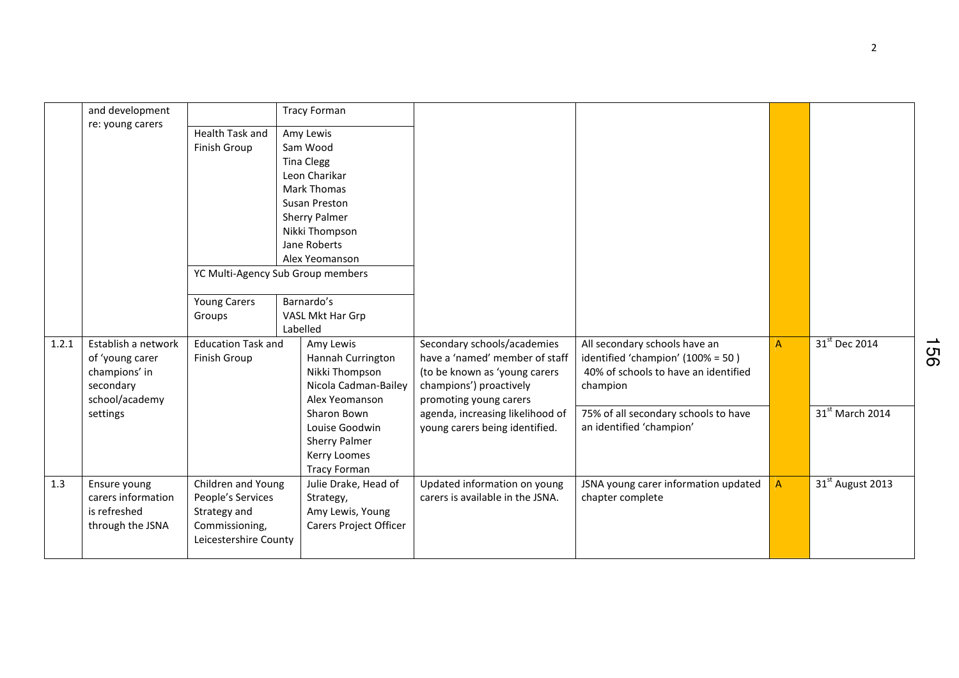|       | and development     |                           | <b>Tracy Forman</b>                 |                                  |                                      |              |                              |
|-------|---------------------|---------------------------|-------------------------------------|----------------------------------|--------------------------------------|--------------|------------------------------|
|       | re: young carers    | Health Task and           | Amy Lewis                           |                                  |                                      |              |                              |
|       |                     | Finish Group              | Sam Wood                            |                                  |                                      |              |                              |
|       |                     |                           | <b>Tina Clegg</b>                   |                                  |                                      |              |                              |
|       |                     |                           | Leon Charikar                       |                                  |                                      |              |                              |
|       |                     |                           | <b>Mark Thomas</b>                  |                                  |                                      |              |                              |
|       |                     |                           | Susan Preston                       |                                  |                                      |              |                              |
|       |                     |                           | Sherry Palmer                       |                                  |                                      |              |                              |
|       |                     |                           | Nikki Thompson                      |                                  |                                      |              |                              |
|       |                     |                           | Jane Roberts                        |                                  |                                      |              |                              |
|       |                     |                           | Alex Yeomanson                      |                                  |                                      |              |                              |
|       |                     |                           | YC Multi-Agency Sub Group members   |                                  |                                      |              |                              |
|       |                     | <b>Young Carers</b>       | Barnardo's                          |                                  |                                      |              |                              |
|       |                     | Groups                    | VASL Mkt Har Grp                    |                                  |                                      |              |                              |
|       |                     |                           | Labelled                            |                                  |                                      |              |                              |
| 1.2.1 | Establish a network | <b>Education Task and</b> | Amy Lewis                           | Secondary schools/academies      | All secondary schools have an        | $\mathsf{A}$ | 31 <sup>st</sup> Dec 2014    |
|       | of 'young carer     | Finish Group              | Hannah Currington                   | have a 'named' member of staff   | identified 'champion' (100% = 50)    |              |                              |
|       | champions' in       |                           | Nikki Thompson                      | (to be known as 'young carers    | 40% of schools to have an identified |              |                              |
|       | secondary           |                           | Nicola Cadman-Bailey                | champions') proactively          | champion                             |              |                              |
|       | school/academy      |                           | Alex Yeomanson                      | promoting young carers           |                                      |              |                              |
|       | settings            |                           | Sharon Bown                         | agenda, increasing likelihood of | 75% of all secondary schools to have |              | 31 <sup>st</sup> March 2014  |
|       |                     |                           | Louise Goodwin                      | young carers being identified.   | an identified 'champion'             |              |                              |
|       |                     |                           | Sherry Palmer                       |                                  |                                      |              |                              |
|       |                     |                           | Kerry Loomes<br><b>Tracy Forman</b> |                                  |                                      |              |                              |
| 1.3   | Ensure young        | Children and Young        | Julie Drake, Head of                | Updated information on young     | JSNA young carer information updated | $\mathsf{A}$ | 31 <sup>st</sup> August 2013 |
|       | carers information  | People's Services         | Strategy,                           | carers is available in the JSNA. | chapter complete                     |              |                              |
|       | is refreshed        | Strategy and              | Amy Lewis, Young                    |                                  |                                      |              |                              |
|       | through the JSNA    | Commissioning,            | Carers Project Officer              |                                  |                                      |              |                              |
|       |                     | Leicestershire County     |                                     |                                  |                                      |              |                              |
|       |                     |                           |                                     |                                  |                                      |              |                              |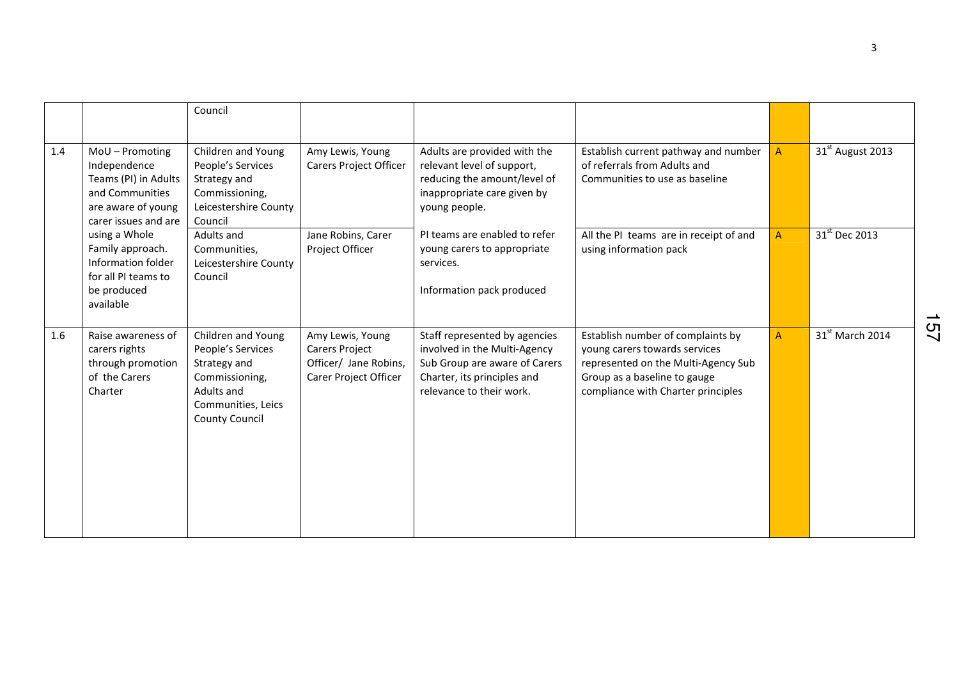|     |                                                                                                                          | Council                                                                                                                                |                                                                                      |                                                                                                                                                           |                                                                                                                                                                                 |                |                              |
|-----|--------------------------------------------------------------------------------------------------------------------------|----------------------------------------------------------------------------------------------------------------------------------------|--------------------------------------------------------------------------------------|-----------------------------------------------------------------------------------------------------------------------------------------------------------|---------------------------------------------------------------------------------------------------------------------------------------------------------------------------------|----------------|------------------------------|
| 1.4 | MoU - Promoting<br>Independence<br>Teams (PI) in Adults<br>and Communities<br>are aware of young<br>carer issues and are | Children and Young<br>People's Services<br>Strategy and<br>Commissioning,<br>Leicestershire County<br>Council                          | Amy Lewis, Young<br>Carers Project Officer                                           | Adults are provided with the<br>relevant level of support,<br>reducing the amount/level of<br>inappropriate care given by<br>young people.                | Establish current pathway and number<br>of referrals from Adults and<br>Communities to use as baseline                                                                          | A              | 31 <sup>st</sup> August 2013 |
|     | using a Whole<br>Family approach.<br>Information folder<br>for all PI teams to<br>be produced<br>available               | Adults and<br>Communities,<br>Leicestershire County<br>Council                                                                         | Jane Robins, Carer<br>Project Officer                                                | PI teams are enabled to refer<br>young carers to appropriate<br>services.<br>Information pack produced                                                    | All the PI teams are in receipt of and<br>using information pack                                                                                                                | $\overline{A}$ | $31st$ Dec 2013              |
| 1.6 | Raise awareness of<br>carers rights<br>through promotion<br>of the Carers<br>Charter                                     | Children and Young<br>People's Services<br>Strategy and<br>Commissioning,<br>Adults and<br>Communities, Leics<br><b>County Council</b> | Amy Lewis, Young<br>Carers Project<br>Officer/ Jane Robins,<br>Carer Project Officer | Staff represented by agencies<br>involved in the Multi-Agency<br>Sub Group are aware of Carers<br>Charter, its principles and<br>relevance to their work. | Establish number of complaints by<br>young carers towards services<br>represented on the Multi-Agency Sub<br>Group as a baseline to gauge<br>compliance with Charter principles | $\overline{A}$ | $31st$ March 2014            |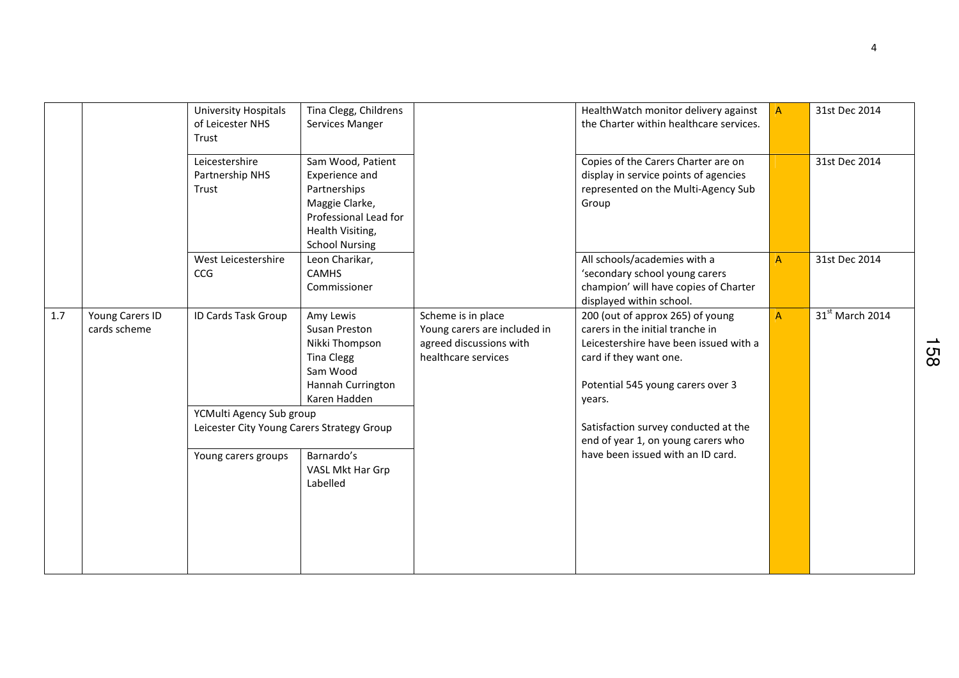|     |                                 | <b>University Hospitals</b><br>of Leicester NHS<br>Trust               | Tina Clegg, Childrens<br>Services Manger                                                                                                    |                                                                                                      | HealthWatch monitor delivery against<br>the Charter within healthcare services.                                                                                                         | $\overline{A}$ | 31st Dec 2014     |
|-----|---------------------------------|------------------------------------------------------------------------|---------------------------------------------------------------------------------------------------------------------------------------------|------------------------------------------------------------------------------------------------------|-----------------------------------------------------------------------------------------------------------------------------------------------------------------------------------------|----------------|-------------------|
|     |                                 | Leicestershire<br>Partnership NHS<br>Trust                             | Sam Wood, Patient<br>Experience and<br>Partnerships<br>Maggie Clarke,<br>Professional Lead for<br>Health Visiting,<br><b>School Nursing</b> |                                                                                                      | Copies of the Carers Charter are on<br>display in service points of agencies<br>represented on the Multi-Agency Sub<br>Group                                                            |                | 31st Dec 2014     |
|     |                                 | West Leicestershire<br><b>CCG</b>                                      | Leon Charikar,<br><b>CAMHS</b><br>Commissioner                                                                                              |                                                                                                      | All schools/academies with a<br>'secondary school young carers<br>champion' will have copies of Charter<br>displayed within school.                                                     | A              | 31st Dec 2014     |
| 1.7 | Young Carers ID<br>cards scheme | ID Cards Task Group                                                    | Amy Lewis<br>Susan Preston<br>Nikki Thompson<br><b>Tina Clegg</b><br>Sam Wood<br>Hannah Currington<br>Karen Hadden                          | Scheme is in place<br>Young carers are included in<br>agreed discussions with<br>healthcare services | 200 (out of approx 265) of young<br>carers in the initial tranche in<br>Leicestershire have been issued with a<br>card if they want one.<br>Potential 545 young carers over 3<br>years. | A              | $31st$ March 2014 |
|     |                                 | YCMulti Agency Sub group<br>Leicester City Young Carers Strategy Group |                                                                                                                                             |                                                                                                      | Satisfaction survey conducted at the<br>end of year 1, on young carers who                                                                                                              |                |                   |
|     |                                 | Young carers groups                                                    | Barnardo's<br>VASL Mkt Har Grp<br>Labelled                                                                                                  |                                                                                                      | have been issued with an ID card.                                                                                                                                                       |                |                   |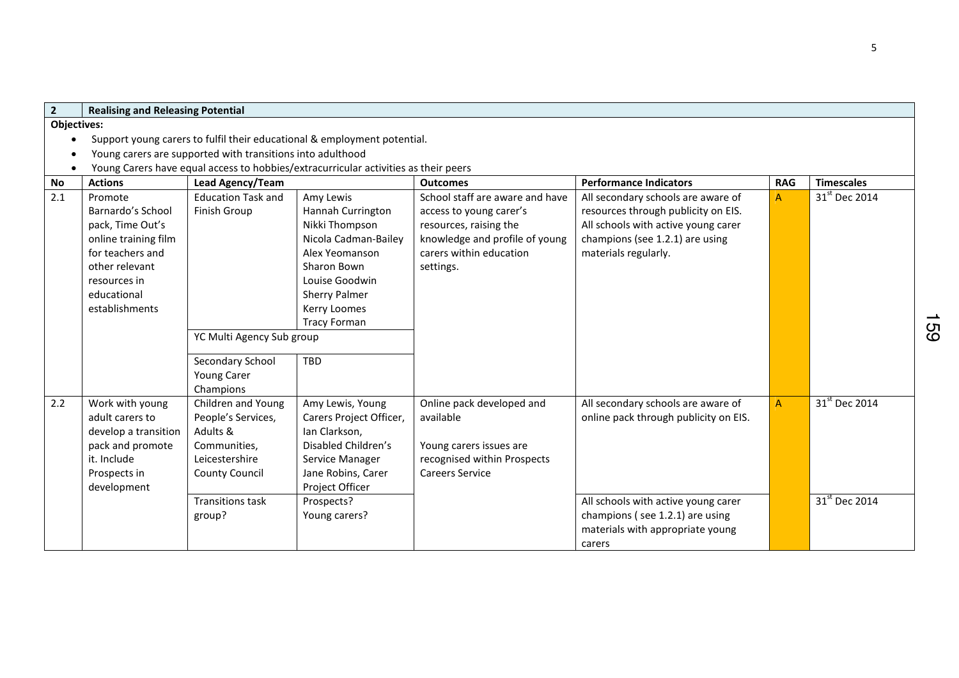| $\overline{2}$     | <b>Realising and Releasing Potential</b> |                                                            |                                                                                     |                                 |                                       |            |                           |  |  |
|--------------------|------------------------------------------|------------------------------------------------------------|-------------------------------------------------------------------------------------|---------------------------------|---------------------------------------|------------|---------------------------|--|--|
| <b>Objectives:</b> |                                          |                                                            |                                                                                     |                                 |                                       |            |                           |  |  |
|                    |                                          |                                                            | Support young carers to fulfil their educational & employment potential.            |                                 |                                       |            |                           |  |  |
|                    |                                          | Young carers are supported with transitions into adulthood |                                                                                     |                                 |                                       |            |                           |  |  |
| $\bullet$          |                                          |                                                            | Young Carers have equal access to hobbies/extracurricular activities as their peers |                                 |                                       |            |                           |  |  |
| <b>No</b>          | <b>Actions</b>                           | Lead Agency/Team                                           |                                                                                     | <b>Outcomes</b>                 | <b>Performance Indicators</b>         | <b>RAG</b> | <b>Timescales</b>         |  |  |
| 2.1                | Promote                                  | <b>Education Task and</b>                                  | Amy Lewis                                                                           | School staff are aware and have | All secondary schools are aware of    | A          | 31 <sup>st</sup> Dec 2014 |  |  |
|                    | Barnardo's School                        | Finish Group                                               | Hannah Currington                                                                   | access to young carer's         | resources through publicity on EIS.   |            |                           |  |  |
|                    | pack, Time Out's                         |                                                            | Nikki Thompson                                                                      | resources, raising the          | All schools with active young carer   |            |                           |  |  |
|                    | online training film                     |                                                            | Nicola Cadman-Bailey                                                                | knowledge and profile of young  | champions (see 1.2.1) are using       |            |                           |  |  |
|                    | for teachers and                         |                                                            | Alex Yeomanson                                                                      | carers within education         | materials regularly.                  |            |                           |  |  |
|                    | other relevant                           |                                                            | Sharon Bown                                                                         | settings.                       |                                       |            |                           |  |  |
|                    | resources in                             |                                                            | Louise Goodwin                                                                      |                                 |                                       |            |                           |  |  |
|                    | educational                              |                                                            | <b>Sherry Palmer</b>                                                                |                                 |                                       |            |                           |  |  |
|                    | establishments                           |                                                            | Kerry Loomes                                                                        |                                 |                                       |            |                           |  |  |
|                    |                                          |                                                            | <b>Tracy Forman</b>                                                                 |                                 |                                       |            |                           |  |  |
|                    |                                          | YC Multi Agency Sub group                                  |                                                                                     |                                 |                                       |            |                           |  |  |
|                    |                                          | Secondary School                                           | <b>TBD</b>                                                                          |                                 |                                       |            |                           |  |  |
|                    |                                          | Young Carer                                                |                                                                                     |                                 |                                       |            |                           |  |  |
|                    |                                          | Champions                                                  |                                                                                     |                                 |                                       |            |                           |  |  |
| 2.2                | Work with young                          | Children and Young                                         | Amy Lewis, Young                                                                    | Online pack developed and       | All secondary schools are aware of    | A          | 31 <sup>st</sup> Dec 2014 |  |  |
|                    | adult carers to                          | People's Services,                                         | Carers Project Officer,                                                             | available                       | online pack through publicity on EIS. |            |                           |  |  |
|                    | develop a transition                     | Adults &                                                   | Ian Clarkson,                                                                       |                                 |                                       |            |                           |  |  |
|                    | pack and promote                         | Communities,                                               | Disabled Children's                                                                 | Young carers issues are         |                                       |            |                           |  |  |
|                    | it. Include                              | Leicestershire                                             | Service Manager                                                                     | recognised within Prospects     |                                       |            |                           |  |  |
|                    | Prospects in                             | <b>County Council</b>                                      | Jane Robins, Carer                                                                  | <b>Careers Service</b>          |                                       |            |                           |  |  |
|                    | development                              |                                                            | Project Officer                                                                     |                                 |                                       |            |                           |  |  |
|                    |                                          | <b>Transitions task</b>                                    | Prospects?                                                                          |                                 | All schools with active young carer   |            | $31st$ Dec 2014           |  |  |
|                    |                                          | group?                                                     | Young carers?                                                                       |                                 | champions (see 1.2.1) are using       |            |                           |  |  |
|                    |                                          |                                                            |                                                                                     |                                 | materials with appropriate young      |            |                           |  |  |
|                    |                                          |                                                            |                                                                                     |                                 | carers                                |            |                           |  |  |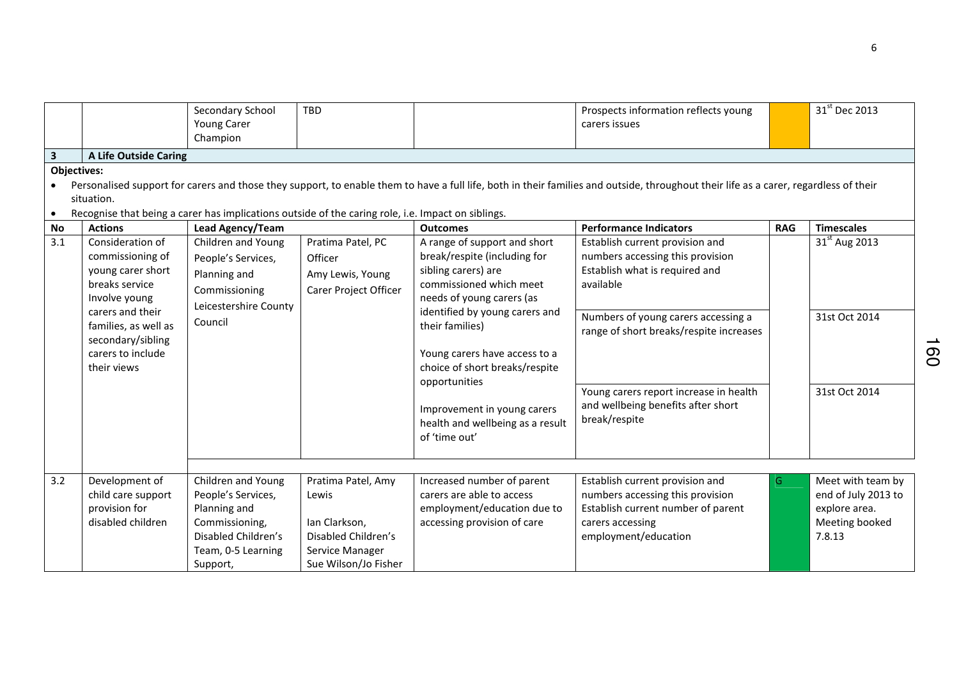| 3<br><b>Objectives:</b><br>$\bullet$ | <b>A Life Outside Caring</b><br>situation.                                                        | Secondary School<br>Young Carer<br>Champion<br>Recognise that being a carer has implications outside of the caring role, i.e. Impact on siblings. | <b>TBD</b>                                                                                                     |                                                                                                                                             | Prospects information reflects young<br>carers issues<br>Personalised support for carers and those they support, to enable them to have a full life, both in their families and outside, throughout their life as a carer, regardless of their |            | 31 <sup>st</sup> Dec 2013                                                             |
|--------------------------------------|---------------------------------------------------------------------------------------------------|---------------------------------------------------------------------------------------------------------------------------------------------------|----------------------------------------------------------------------------------------------------------------|---------------------------------------------------------------------------------------------------------------------------------------------|------------------------------------------------------------------------------------------------------------------------------------------------------------------------------------------------------------------------------------------------|------------|---------------------------------------------------------------------------------------|
| No                                   | <b>Actions</b>                                                                                    | <b>Lead Agency/Team</b>                                                                                                                           |                                                                                                                | <b>Outcomes</b>                                                                                                                             | <b>Performance Indicators</b>                                                                                                                                                                                                                  | <b>RAG</b> | <b>Timescales</b>                                                                     |
| 3.1                                  | Consideration of<br>commissioning of<br>young carer short<br>breaks service<br>Involve young      | Children and Young<br>People's Services,<br>Planning and<br>Commissioning<br>Leicestershire County                                                | Pratima Patel, PC<br>Officer<br>Amy Lewis, Young<br>Carer Project Officer                                      | A range of support and short<br>break/respite (including for<br>sibling carers) are<br>commissioned which meet<br>needs of young carers (as | Establish current provision and<br>numbers accessing this provision<br>Establish what is required and<br>available                                                                                                                             |            | $31st$ Aug 2013                                                                       |
|                                      | carers and their<br>families, as well as<br>secondary/sibling<br>carers to include<br>their views | Council                                                                                                                                           |                                                                                                                | identified by young carers and<br>their families)<br>Young carers have access to a<br>choice of short breaks/respite<br>opportunities       | Numbers of young carers accessing a<br>range of short breaks/respite increases                                                                                                                                                                 |            | 31st Oct 2014                                                                         |
|                                      |                                                                                                   |                                                                                                                                                   |                                                                                                                | Improvement in young carers<br>health and wellbeing as a result<br>of 'time out'                                                            | Young carers report increase in health<br>and wellbeing benefits after short<br>break/respite                                                                                                                                                  |            | 31st Oct 2014                                                                         |
| 3.2                                  | Development of<br>child care support<br>provision for<br>disabled children                        | Children and Young<br>People's Services,<br>Planning and<br>Commissioning,<br>Disabled Children's<br>Team, 0-5 Learning<br>Support,               | Pratima Patel, Amy<br>Lewis<br>Ian Clarkson,<br>Disabled Children's<br>Service Manager<br>Sue Wilson/Jo Fisher | Increased number of parent<br>carers are able to access<br>employment/education due to<br>accessing provision of care                       | Establish current provision and<br>numbers accessing this provision<br>Establish current number of parent<br>carers accessing<br>employment/education                                                                                          | G.         | Meet with team by<br>end of July 2013 to<br>explore area.<br>Meeting booked<br>7.8.13 |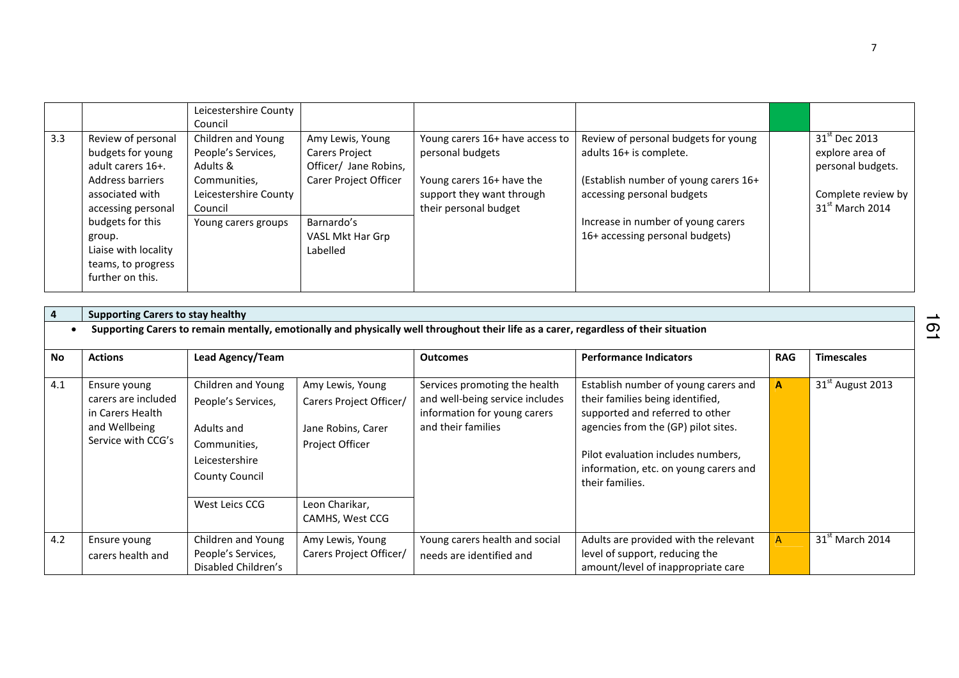|     |                                                                                                                                                                                                                           | Leicestershire County<br>Council                                                                                                |                                                                                                                                           |                                                                                                                                        |                                                                                                                                                                                                                 |                                                                                                              |
|-----|---------------------------------------------------------------------------------------------------------------------------------------------------------------------------------------------------------------------------|---------------------------------------------------------------------------------------------------------------------------------|-------------------------------------------------------------------------------------------------------------------------------------------|----------------------------------------------------------------------------------------------------------------------------------------|-----------------------------------------------------------------------------------------------------------------------------------------------------------------------------------------------------------------|--------------------------------------------------------------------------------------------------------------|
| 3.3 | Review of personal<br>budgets for young<br>adult carers 16+.<br>Address barriers<br>associated with<br>accessing personal<br>budgets for this<br>group.<br>Liaise with locality<br>teams, to progress<br>further on this. | Children and Young<br>People's Services,<br>Adults &<br>Communities,<br>Leicestershire County<br>Council<br>Young carers groups | Amy Lewis, Young<br><b>Carers Project</b><br>Officer/ Jane Robins,<br>Carer Project Officer<br>Barnardo's<br>VASL Mkt Har Grp<br>Labelled | Young carers 16+ have access to<br>personal budgets<br>Young carers 16+ have the<br>support they want through<br>their personal budget | Review of personal budgets for young<br>adults 16+ is complete.<br>(Establish number of young carers 16+<br>accessing personal budgets<br>Increase in number of young carers<br>16+ accessing personal budgets) | 31 <sup>st</sup> Dec 2013<br>explore area of<br>personal budgets.<br>Complete review by<br>$31st$ March 2014 |

| $\overline{4}$ | <b>Supporting Carers to stay healthy</b>                                                                                              |                                                                                                                                     |                                                                                                        |                                                                                                                        |                                                                                                                                                                                                                                                      |              |                              |  |  |  |  |  |
|----------------|---------------------------------------------------------------------------------------------------------------------------------------|-------------------------------------------------------------------------------------------------------------------------------------|--------------------------------------------------------------------------------------------------------|------------------------------------------------------------------------------------------------------------------------|------------------------------------------------------------------------------------------------------------------------------------------------------------------------------------------------------------------------------------------------------|--------------|------------------------------|--|--|--|--|--|
|                | Supporting Carers to remain mentally, emotionally and physically well throughout their life as a carer, regardless of their situation |                                                                                                                                     |                                                                                                        |                                                                                                                        |                                                                                                                                                                                                                                                      |              |                              |  |  |  |  |  |
| <b>No</b>      | <b>Actions</b>                                                                                                                        | Lead Agency/Team                                                                                                                    |                                                                                                        | <b>Outcomes</b>                                                                                                        | <b>Performance Indicators</b>                                                                                                                                                                                                                        | <b>RAG</b>   | <b>Timescales</b>            |  |  |  |  |  |
| 4.1            | Ensure young<br>carers are included<br>in Carers Health<br>and Wellbeing<br>Service with CCG's                                        | Children and Young<br>People's Services,<br>Adults and<br>Communities,<br>Leicestershire<br><b>County Council</b><br>West Leics CCG | Amy Lewis, Young<br>Carers Project Officer/<br>Jane Robins, Carer<br>Project Officer<br>Leon Charikar, | Services promoting the health<br>and well-being service includes<br>information for young carers<br>and their families | Establish number of young carers and<br>their families being identified,<br>supported and referred to other<br>agencies from the (GP) pilot sites.<br>Pilot evaluation includes numbers,<br>information, etc. on young carers and<br>their families. | $\mathbf{A}$ | 31 <sup>st</sup> August 2013 |  |  |  |  |  |
|                |                                                                                                                                       |                                                                                                                                     | CAMHS, West CCG                                                                                        |                                                                                                                        |                                                                                                                                                                                                                                                      |              |                              |  |  |  |  |  |
| 4.2            | Ensure young<br>carers health and                                                                                                     | Children and Young<br>People's Services,<br>Disabled Children's                                                                     | Amy Lewis, Young<br>Carers Project Officer/                                                            | Young carers health and social<br>needs are identified and                                                             | Adults are provided with the relevant<br>level of support, reducing the<br>amount/level of inappropriate care                                                                                                                                        | A            | $31st$ March 2014            |  |  |  |  |  |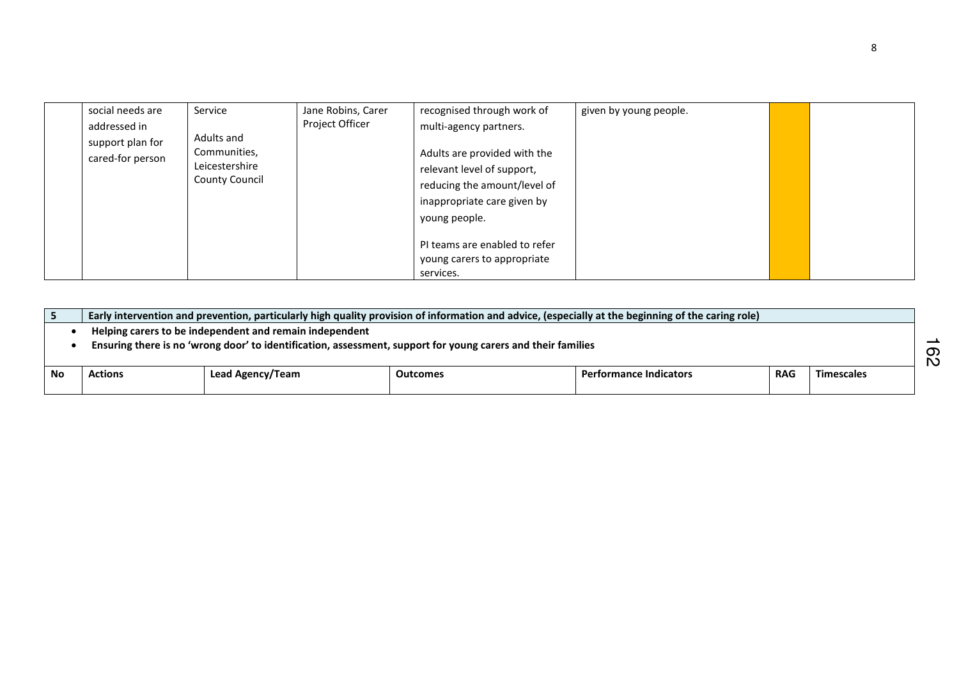| social needs are<br>addressed in<br>support plan for<br>cared-for person | Service<br>Adults and<br>Communities,<br>Leicestershire<br><b>County Council</b> | Jane Robins, Carer<br>Project Officer | recognised through work of<br>multi-agency partners.<br>Adults are provided with the<br>relevant level of support,<br>reducing the amount/level of<br>inappropriate care given by<br>young people. | given by young people. |  |
|--------------------------------------------------------------------------|----------------------------------------------------------------------------------|---------------------------------------|----------------------------------------------------------------------------------------------------------------------------------------------------------------------------------------------------|------------------------|--|
|                                                                          |                                                                                  |                                       | PI teams are enabled to refer<br>young carers to appropriate<br>services.                                                                                                                          |                        |  |

|    | Early intervention and prevention, particularly high quality provision of information and advice, (especially at the beginning of the caring role) |                  |          |                               |            |                   |  |  |  |
|----|----------------------------------------------------------------------------------------------------------------------------------------------------|------------------|----------|-------------------------------|------------|-------------------|--|--|--|
|    | Helping carers to be independent and remain independent                                                                                            |                  |          |                               |            |                   |  |  |  |
|    | Ensuring there is no 'wrong door' to identification, assessment, support for young carers and their families<br>တ<br>N                             |                  |          |                               |            |                   |  |  |  |
| No | <b>Actions</b>                                                                                                                                     | Lead Agency/Team | Outcomes | <b>Performance Indicators</b> | <b>RAG</b> | <b>Timescales</b> |  |  |  |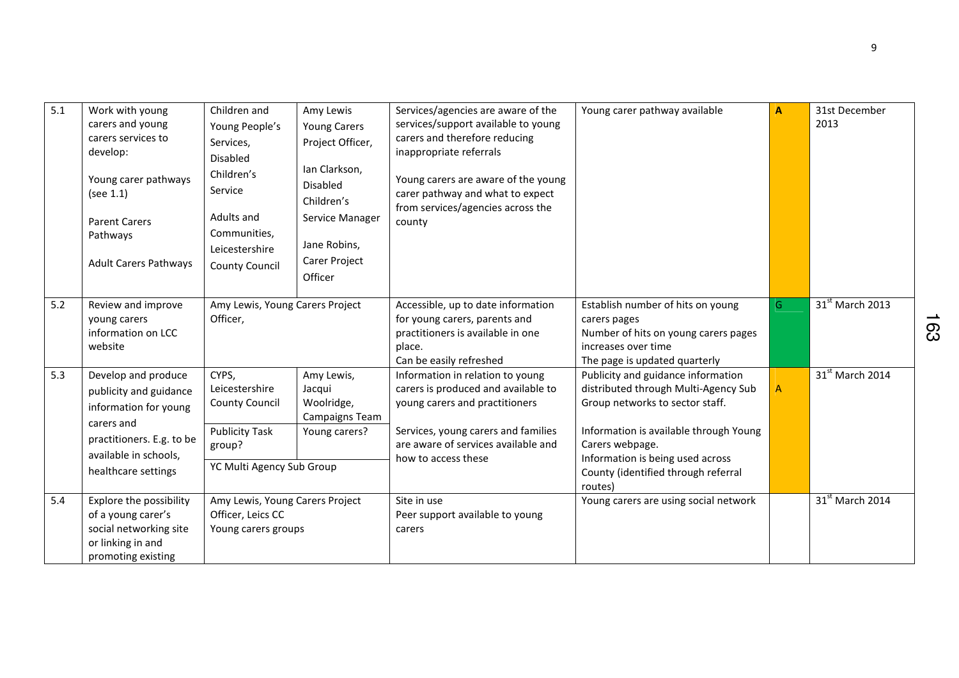| 5.1 | Work with young<br>carers and young<br>carers services to<br>develop:<br>Young carer pathways<br>(see 1.1)<br><b>Parent Carers</b><br>Pathways<br><b>Adult Carers Pathways</b> | Children and<br>Young People's<br>Services,<br>Disabled<br>Children's<br>Service<br>Adults and<br>Communities,<br>Leicestershire<br><b>County Council</b> | Amy Lewis<br><b>Young Carers</b><br>Project Officer,<br>Ian Clarkson,<br>Disabled<br>Children's<br>Service Manager<br>Jane Robins,<br>Carer Project<br>Officer | Services/agencies are aware of the<br>services/support available to young<br>carers and therefore reducing<br>inappropriate referrals<br>Young carers are aware of the young<br>carer pathway and what to expect<br>from services/agencies across the<br>county | Young carer pathway available                                                                                                                                                                                                                                    | A            | 31st December<br>2013       |
|-----|--------------------------------------------------------------------------------------------------------------------------------------------------------------------------------|-----------------------------------------------------------------------------------------------------------------------------------------------------------|----------------------------------------------------------------------------------------------------------------------------------------------------------------|-----------------------------------------------------------------------------------------------------------------------------------------------------------------------------------------------------------------------------------------------------------------|------------------------------------------------------------------------------------------------------------------------------------------------------------------------------------------------------------------------------------------------------------------|--------------|-----------------------------|
| 5.2 | Review and improve<br>young carers<br>information on LCC<br>website                                                                                                            | Amy Lewis, Young Carers Project<br>Officer,                                                                                                               |                                                                                                                                                                | Accessible, up to date information<br>for young carers, parents and<br>practitioners is available in one<br>place.<br>Can be easily refreshed                                                                                                                   | Establish number of hits on young<br>carers pages<br>Number of hits on young carers pages<br>increases over time<br>The page is updated quarterly                                                                                                                | G            | 31 <sup>st</sup> March 2013 |
| 5.3 | Develop and produce<br>publicity and guidance<br>information for young<br>carers and<br>practitioners. E.g. to be<br>available in schools,<br>healthcare settings              | CYPS,<br>Leicestershire<br><b>County Council</b><br><b>Publicity Task</b><br>group?<br>YC Multi Agency Sub Group                                          | Amy Lewis,<br>Jacqui<br>Woolridge,<br>Campaigns Team<br>Young carers?                                                                                          | Information in relation to young<br>carers is produced and available to<br>young carers and practitioners<br>Services, young carers and families<br>are aware of services available and<br>how to access these                                                  | Publicity and guidance information<br>distributed through Multi-Agency Sub<br>Group networks to sector staff.<br>Information is available through Young<br>Carers webpage.<br>Information is being used across<br>County (identified through referral<br>routes) | $\mathsf{A}$ | 31 <sup>st</sup> March 2014 |
| 5.4 | Explore the possibility<br>of a young carer's<br>social networking site<br>or linking in and<br>promoting existing                                                             | Amy Lewis, Young Carers Project<br>Officer, Leics CC<br>Young carers groups                                                                               |                                                                                                                                                                | Site in use<br>Peer support available to young<br>carers                                                                                                                                                                                                        | Young carers are using social network                                                                                                                                                                                                                            |              | 31 <sup>st</sup> March 2014 |